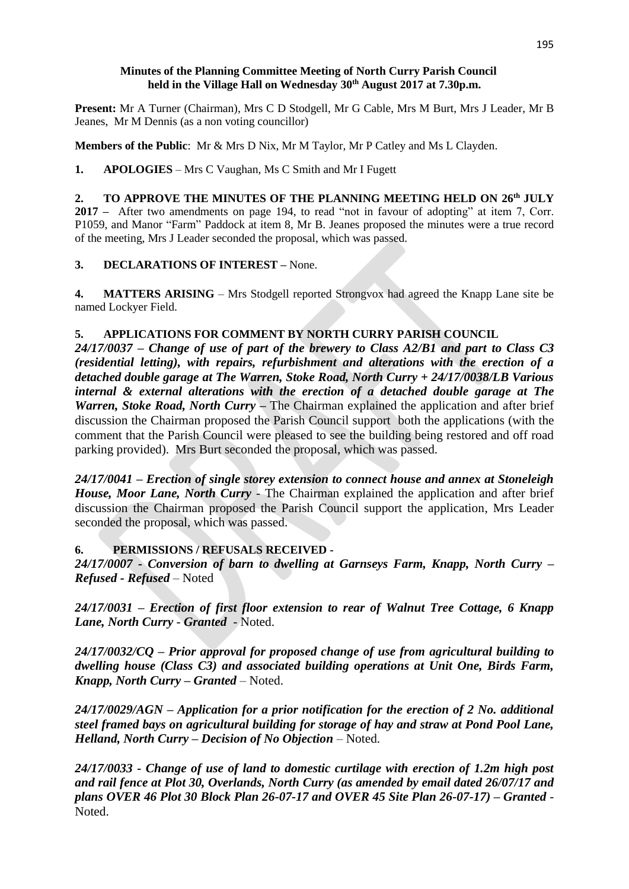### **Minutes of the Planning Committee Meeting of North Curry Parish Council held in the Village Hall on Wednesday 30th August 2017 at 7.30p.m.**

**Present:** Mr A Turner (Chairman), Mrs C D Stodgell, Mr G Cable, Mrs M Burt, Mrs J Leader, Mr B Jeanes, Mr M Dennis (as a non voting councillor)

**Members of the Public**: Mr & Mrs D Nix, Mr M Taylor, Mr P Catley and Ms L Clayden.

**1. APOLOGIES** – Mrs C Vaughan, Ms C Smith and Mr I Fugett

**2. TO APPROVE THE MINUTES OF THE PLANNING MEETING HELD ON 26 th JULY 2017 –** After two amendments on page 194, to read "not in favour of adopting" at item 7, Corr. P1059, and Manor "Farm" Paddock at item 8, Mr B. Jeanes proposed the minutes were a true record of the meeting, Mrs J Leader seconded the proposal, which was passed.

## **3. DECLARATIONS OF INTEREST –** None.

**4. MATTERS ARISING** – Mrs Stodgell reported Strongvox had agreed the Knapp Lane site be named Lockyer Field.

## **5. APPLICATIONS FOR COMMENT BY NORTH CURRY PARISH COUNCIL**

*24/17/0037 – Change of use of part of the brewery to Class A2/B1 and part to Class C3 (residential letting), with repairs, refurbishment and alterations with the erection of a detached double garage at The Warren, Stoke Road, North Curry + 24/17/0038/LB Various internal & external alterations with the erection of a detached double garage at The Warren, Stoke Road, North Curry –* The Chairman explained the application and after brief discussion the Chairman proposed the Parish Council support both the applications (with the comment that the Parish Council were pleased to see the building being restored and off road parking provided). Mrs Burt seconded the proposal, which was passed.

*24/17/0041 – Erection of single storey extension to connect house and annex at Stoneleigh House, Moor Lane, North Curry* - The Chairman explained the application and after brief discussion the Chairman proposed the Parish Council support the application, Mrs Leader seconded the proposal, which was passed.

## **6. PERMISSIONS / REFUSALS RECEIVED -**

*24/17/0007 - Conversion of barn to dwelling at Garnseys Farm, Knapp, North Curry – Refused - Refused* – Noted

*24/17/0031 – Erection of first floor extension to rear of Walnut Tree Cottage, 6 Knapp Lane, North Curry* - *Granted* - Noted.

*24/17/0032/CQ – Prior approval for proposed change of use from agricultural building to dwelling house (Class C3) and associated building operations at Unit One, Birds Farm, Knapp, North Curry – Granted* – Noted.

*24/17/0029/AGN – Application for a prior notification for the erection of 2 No. additional steel framed bays on agricultural building for storage of hay and straw at Pond Pool Lane, Helland, North Curry – Decision of No Objection* – Noted.

*24/17/0033 - Change of use of land to domestic curtilage with erection of 1.2m high post and rail fence at Plot 30, Overlands, North Curry (as amended by email dated 26/07/17 and plans OVER 46 Plot 30 Block Plan 26-07-17 and OVER 45 Site Plan 26-07-17) – Granted* - Noted.